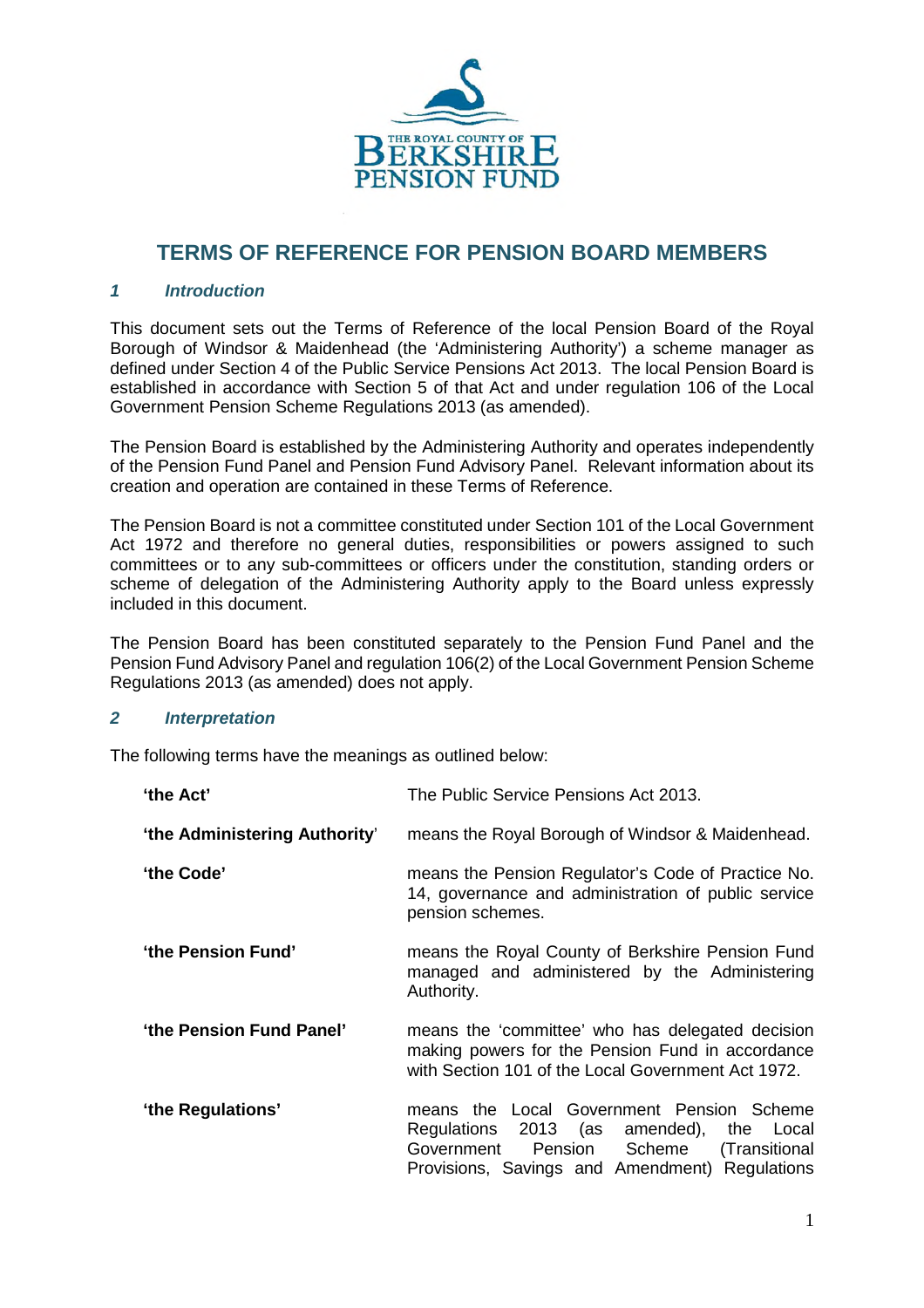

# **TERMS OF REFERENCE FOR PENSION BOARD MEMBERS**

#### *1 Introduction*

This document sets out the Terms of Reference of the local Pension Board of the Royal Borough of Windsor & Maidenhead (the 'Administering Authority') a scheme manager as defined under Section 4 of the Public Service Pensions Act 2013. The local Pension Board is established in accordance with Section 5 of that Act and under regulation 106 of the Local Government Pension Scheme Regulations 2013 (as amended).

The Pension Board is established by the Administering Authority and operates independently of the Pension Fund Panel and Pension Fund Advisory Panel. Relevant information about its creation and operation are contained in these Terms of Reference.

The Pension Board is not a committee constituted under Section 101 of the Local Government Act 1972 and therefore no general duties, responsibilities or powers assigned to such committees or to any sub-committees or officers under the constitution, standing orders or scheme of delegation of the Administering Authority apply to the Board unless expressly included in this document.

The Pension Board has been constituted separately to the Pension Fund Panel and the Pension Fund Advisory Panel and regulation 106(2) of the Local Government Pension Scheme Regulations 2013 (as amended) does not apply.

#### *2 Interpretation*

The following terms have the meanings as outlined below:

| 'the Act'                     | The Public Service Pensions Act 2013.                                                                                                                                                 |
|-------------------------------|---------------------------------------------------------------------------------------------------------------------------------------------------------------------------------------|
| 'the Administering Authority' | means the Royal Borough of Windsor & Maidenhead.                                                                                                                                      |
| 'the Code'                    | means the Pension Regulator's Code of Practice No.<br>14, governance and administration of public service<br>pension schemes.                                                         |
| 'the Pension Fund'            | means the Royal County of Berkshire Pension Fund<br>managed and administered by the Administering<br>Authority.                                                                       |
| 'the Pension Fund Panel'      | means the 'committee' who has delegated decision<br>making powers for the Pension Fund in accordance<br>with Section 101 of the Local Government Act 1972.                            |
| 'the Regulations'             | means the Local Government Pension Scheme<br>Regulations 2013 (as amended), the Local<br>Scheme (Transitional<br>Government Pension<br>Provisions, Savings and Amendment) Regulations |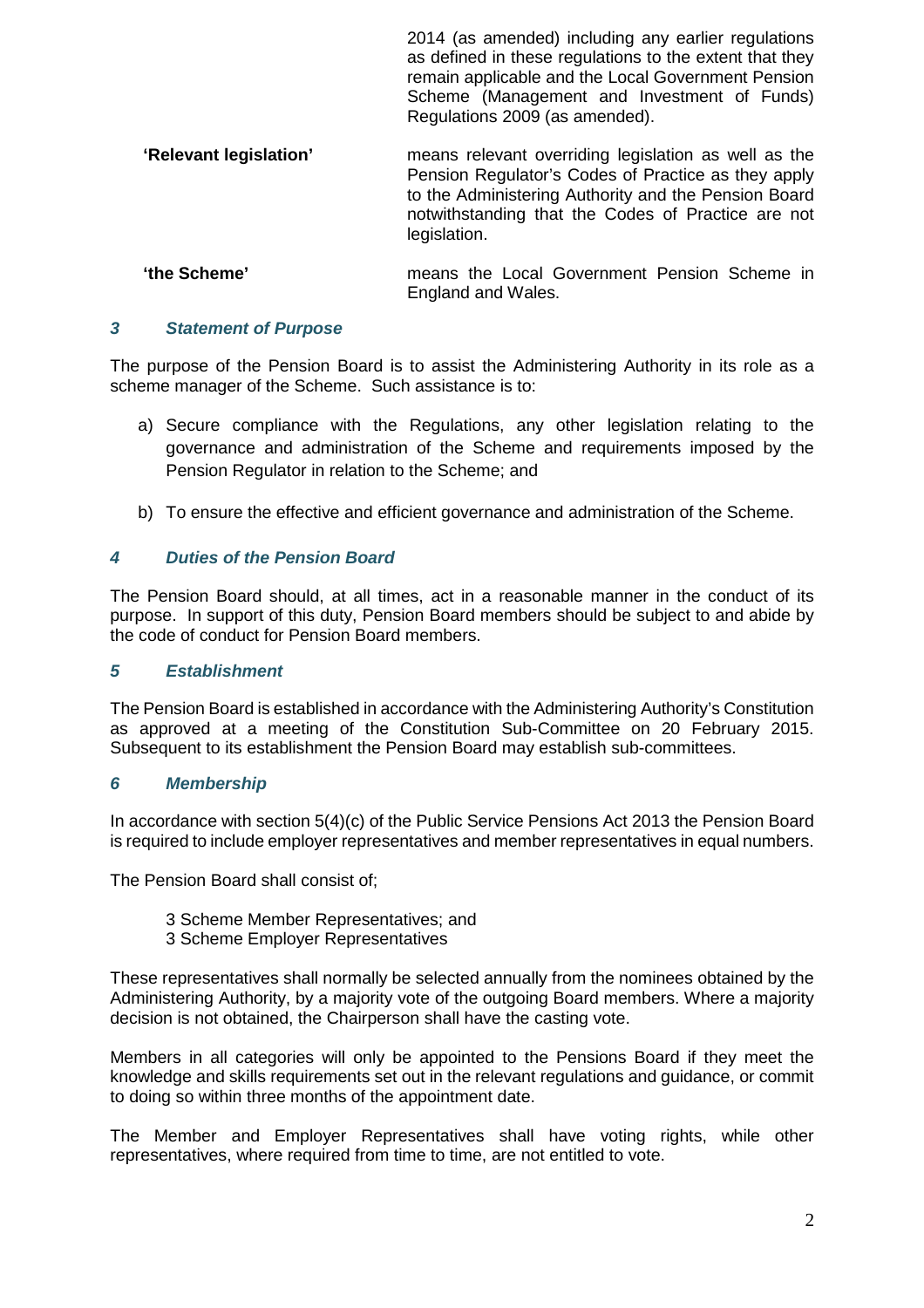|                        | $2011$ (as allieliased) illelaaling ally barlier regalations<br>as defined in these regulations to the extent that they<br>remain applicable and the Local Government Pension<br>Scheme (Management and Investment of Funds)<br>Regulations 2009 (as amended). |
|------------------------|----------------------------------------------------------------------------------------------------------------------------------------------------------------------------------------------------------------------------------------------------------------|
| 'Relevant legislation' | means relevant overriding legislation as well as the<br>Pension Regulator's Codes of Practice as they apply<br>to the Administering Authority and the Pension Board<br>notwithstanding that the Codes of Practice are not<br>legislation.                      |
| 'the Scheme'           | means the Local Government Pension Scheme in                                                                                                                                                                                                                   |

England and Wales.

2014 (as amended) including any earlier regulations

## *3 Statement of Purpose*

The purpose of the Pension Board is to assist the Administering Authority in its role as a scheme manager of the Scheme. Such assistance is to:

- a) Secure compliance with the Regulations, any other legislation relating to the governance and administration of the Scheme and requirements imposed by the Pension Regulator in relation to the Scheme; and
- b) To ensure the effective and efficient governance and administration of the Scheme.

#### *4 Duties of the Pension Board*

The Pension Board should, at all times, act in a reasonable manner in the conduct of its purpose. In support of this duty, Pension Board members should be subject to and abide by the code of conduct for Pension Board members.

#### *5 Establishment*

The Pension Board is established in accordance with the Administering Authority's Constitution as approved at a meeting of the Constitution Sub-Committee on 20 February 2015. Subsequent to its establishment the Pension Board may establish sub-committees.

#### *6 Membership*

In accordance with section 5(4)(c) of the Public Service Pensions Act 2013 the Pension Board is required to include employer representatives and member representatives in equal numbers.

The Pension Board shall consist of;

- 3 Scheme Member Representatives; and
- 3 Scheme Employer Representatives

These representatives shall normally be selected annually from the nominees obtained by the Administering Authority, by a majority vote of the outgoing Board members. Where a majority decision is not obtained, the Chairperson shall have the casting vote.

Members in all categories will only be appointed to the Pensions Board if they meet the knowledge and skills requirements set out in the relevant regulations and guidance, or commit to doing so within three months of the appointment date.

The Member and Employer Representatives shall have voting rights, while other representatives, where required from time to time, are not entitled to vote.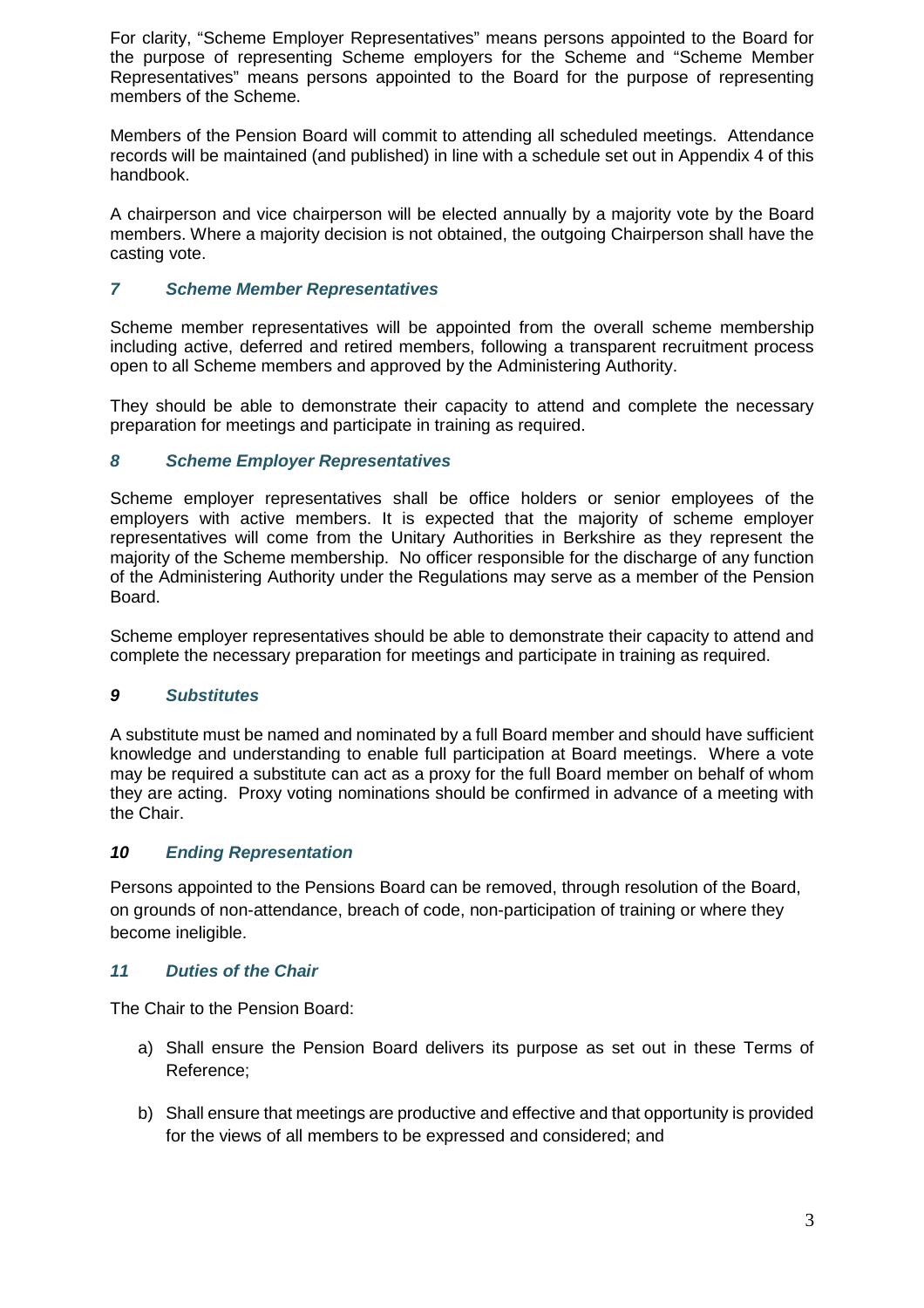For clarity, "Scheme Employer Representatives" means persons appointed to the Board for the purpose of representing Scheme employers for the Scheme and "Scheme Member Representatives" means persons appointed to the Board for the purpose of representing members of the Scheme.

Members of the Pension Board will commit to attending all scheduled meetings. Attendance records will be maintained (and published) in line with a schedule set out in Appendix 4 of this handbook.

A chairperson and vice chairperson will be elected annually by a majority vote by the Board members. Where a majority decision is not obtained, the outgoing Chairperson shall have the casting vote.

# *7 Scheme Member Representatives*

Scheme member representatives will be appointed from the overall scheme membership including active, deferred and retired members, following a transparent recruitment process open to all Scheme members and approved by the Administering Authority.

They should be able to demonstrate their capacity to attend and complete the necessary preparation for meetings and participate in training as required.

## *8 Scheme Employer Representatives*

Scheme employer representatives shall be office holders or senior employees of the employers with active members. It is expected that the majority of scheme employer representatives will come from the Unitary Authorities in Berkshire as they represent the majority of the Scheme membership. No officer responsible for the discharge of any function of the Administering Authority under the Regulations may serve as a member of the Pension Board.

Scheme employer representatives should be able to demonstrate their capacity to attend and complete the necessary preparation for meetings and participate in training as required.

## *9 Substitutes*

A substitute must be named and nominated by a full Board member and should have sufficient knowledge and understanding to enable full participation at Board meetings. Where a vote may be required a substitute can act as a proxy for the full Board member on behalf of whom they are acting. Proxy voting nominations should be confirmed in advance of a meeting with the Chair.

## *10 Ending Representation*

Persons appointed to the Pensions Board can be removed, through resolution of the Board, on grounds of non-attendance, breach of code, non-participation of training or where they become ineligible.

## *11 Duties of the Chair*

The Chair to the Pension Board:

- a) Shall ensure the Pension Board delivers its purpose as set out in these Terms of Reference;
- b) Shall ensure that meetings are productive and effective and that opportunity is provided for the views of all members to be expressed and considered; and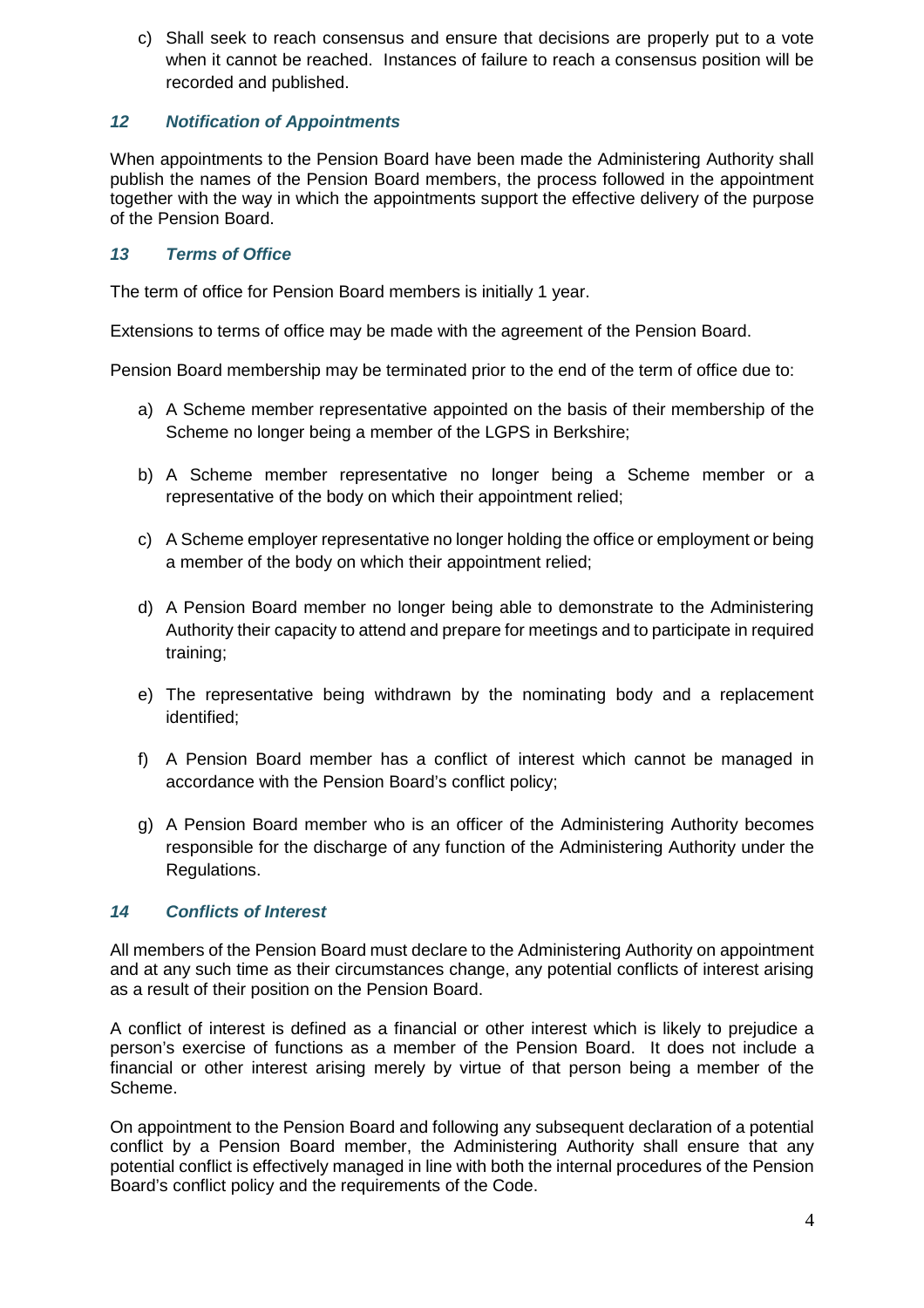c) Shall seek to reach consensus and ensure that decisions are properly put to a vote when it cannot be reached. Instances of failure to reach a consensus position will be recorded and published.

# *12 Notification of Appointments*

When appointments to the Pension Board have been made the Administering Authority shall publish the names of the Pension Board members, the process followed in the appointment together with the way in which the appointments support the effective delivery of the purpose of the Pension Board.

## *13 Terms of Office*

The term of office for Pension Board members is initially 1 year.

Extensions to terms of office may be made with the agreement of the Pension Board.

Pension Board membership may be terminated prior to the end of the term of office due to:

- a) A Scheme member representative appointed on the basis of their membership of the Scheme no longer being a member of the LGPS in Berkshire;
- b) A Scheme member representative no longer being a Scheme member or a representative of the body on which their appointment relied;
- c) A Scheme employer representative no longer holding the office or employment or being a member of the body on which their appointment relied;
- d) A Pension Board member no longer being able to demonstrate to the Administering Authority their capacity to attend and prepare for meetings and to participate in required training;
- e) The representative being withdrawn by the nominating body and a replacement identified;
- f) A Pension Board member has a conflict of interest which cannot be managed in accordance with the Pension Board's conflict policy;
- g) A Pension Board member who is an officer of the Administering Authority becomes responsible for the discharge of any function of the Administering Authority under the Regulations.

## *14 Conflicts of Interest*

All members of the Pension Board must declare to the Administering Authority on appointment and at any such time as their circumstances change, any potential conflicts of interest arising as a result of their position on the Pension Board.

A conflict of interest is defined as a financial or other interest which is likely to prejudice a person's exercise of functions as a member of the Pension Board. It does not include a financial or other interest arising merely by virtue of that person being a member of the Scheme.

On appointment to the Pension Board and following any subsequent declaration of a potential conflict by a Pension Board member, the Administering Authority shall ensure that any potential conflict is effectively managed in line with both the internal procedures of the Pension Board's conflict policy and the requirements of the Code.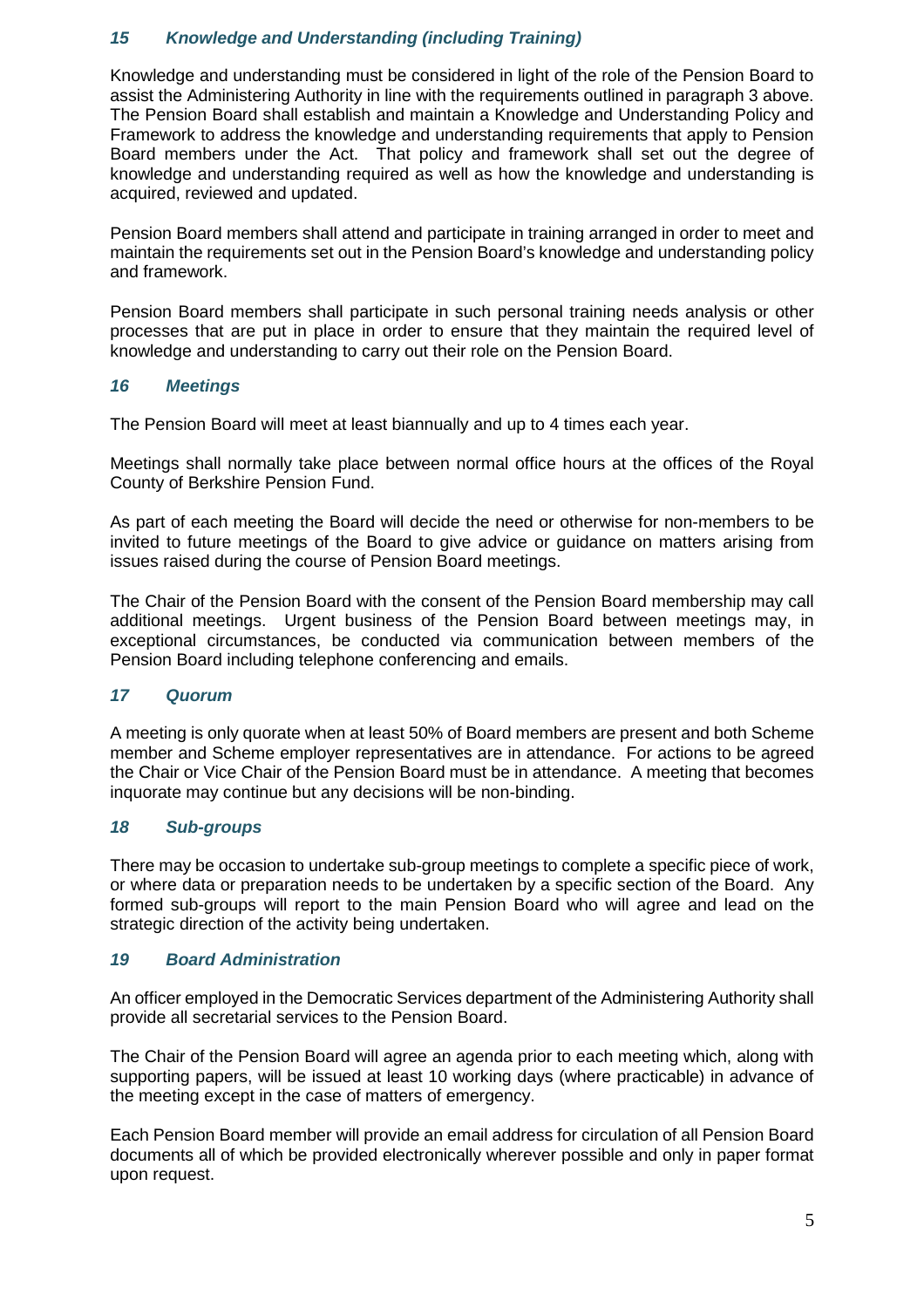# *15 Knowledge and Understanding (including Training)*

Knowledge and understanding must be considered in light of the role of the Pension Board to assist the Administering Authority in line with the requirements outlined in paragraph 3 above. The Pension Board shall establish and maintain a Knowledge and Understanding Policy and Framework to address the knowledge and understanding requirements that apply to Pension Board members under the Act. That policy and framework shall set out the degree of knowledge and understanding required as well as how the knowledge and understanding is acquired, reviewed and updated.

Pension Board members shall attend and participate in training arranged in order to meet and maintain the requirements set out in the Pension Board's knowledge and understanding policy and framework.

Pension Board members shall participate in such personal training needs analysis or other processes that are put in place in order to ensure that they maintain the required level of knowledge and understanding to carry out their role on the Pension Board.

## *16 Meetings*

The Pension Board will meet at least biannually and up to 4 times each year.

Meetings shall normally take place between normal office hours at the offices of the Royal County of Berkshire Pension Fund.

As part of each meeting the Board will decide the need or otherwise for non-members to be invited to future meetings of the Board to give advice or guidance on matters arising from issues raised during the course of Pension Board meetings.

The Chair of the Pension Board with the consent of the Pension Board membership may call additional meetings. Urgent business of the Pension Board between meetings may, in exceptional circumstances, be conducted via communication between members of the Pension Board including telephone conferencing and emails.

## *17 Quorum*

A meeting is only quorate when at least 50% of Board members are present and both Scheme member and Scheme employer representatives are in attendance. For actions to be agreed the Chair or Vice Chair of the Pension Board must be in attendance. A meeting that becomes inquorate may continue but any decisions will be non-binding.

# *18 Sub-groups*

There may be occasion to undertake sub-group meetings to complete a specific piece of work, or where data or preparation needs to be undertaken by a specific section of the Board. Any formed sub-groups will report to the main Pension Board who will agree and lead on the strategic direction of the activity being undertaken.

## *19 Board Administration*

An officer employed in the Democratic Services department of the Administering Authority shall provide all secretarial services to the Pension Board.

The Chair of the Pension Board will agree an agenda prior to each meeting which, along with supporting papers, will be issued at least 10 working days (where practicable) in advance of the meeting except in the case of matters of emergency.

Each Pension Board member will provide an email address for circulation of all Pension Board documents all of which be provided electronically wherever possible and only in paper format upon request.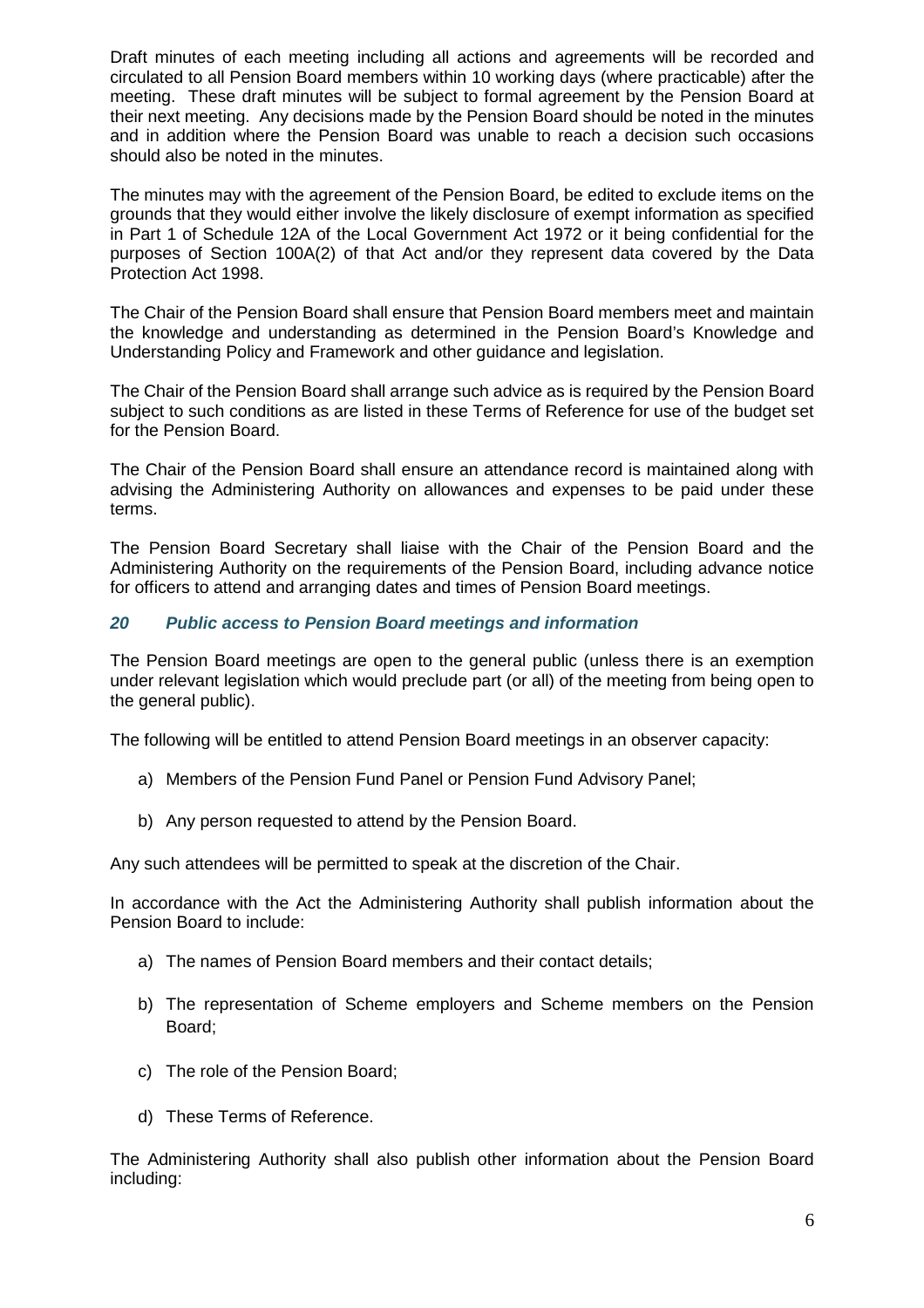Draft minutes of each meeting including all actions and agreements will be recorded and circulated to all Pension Board members within 10 working days (where practicable) after the meeting. These draft minutes will be subject to formal agreement by the Pension Board at their next meeting. Any decisions made by the Pension Board should be noted in the minutes and in addition where the Pension Board was unable to reach a decision such occasions should also be noted in the minutes.

The minutes may with the agreement of the Pension Board, be edited to exclude items on the grounds that they would either involve the likely disclosure of exempt information as specified in Part 1 of Schedule 12A of the Local Government Act 1972 or it being confidential for the purposes of Section 100A(2) of that Act and/or they represent data covered by the Data Protection Act 1998.

The Chair of the Pension Board shall ensure that Pension Board members meet and maintain the knowledge and understanding as determined in the Pension Board's Knowledge and Understanding Policy and Framework and other guidance and legislation.

The Chair of the Pension Board shall arrange such advice as is required by the Pension Board subject to such conditions as are listed in these Terms of Reference for use of the budget set for the Pension Board.

The Chair of the Pension Board shall ensure an attendance record is maintained along with advising the Administering Authority on allowances and expenses to be paid under these terms.

The Pension Board Secretary shall liaise with the Chair of the Pension Board and the Administering Authority on the requirements of the Pension Board, including advance notice for officers to attend and arranging dates and times of Pension Board meetings.

## *20 Public access to Pension Board meetings and information*

The Pension Board meetings are open to the general public (unless there is an exemption under relevant legislation which would preclude part (or all) of the meeting from being open to the general public).

The following will be entitled to attend Pension Board meetings in an observer capacity:

- a) Members of the Pension Fund Panel or Pension Fund Advisory Panel;
- b) Any person requested to attend by the Pension Board.

Any such attendees will be permitted to speak at the discretion of the Chair.

In accordance with the Act the Administering Authority shall publish information about the Pension Board to include:

- a) The names of Pension Board members and their contact details;
- b) The representation of Scheme employers and Scheme members on the Pension Board;
- c) The role of the Pension Board;
- d) These Terms of Reference.

The Administering Authority shall also publish other information about the Pension Board including: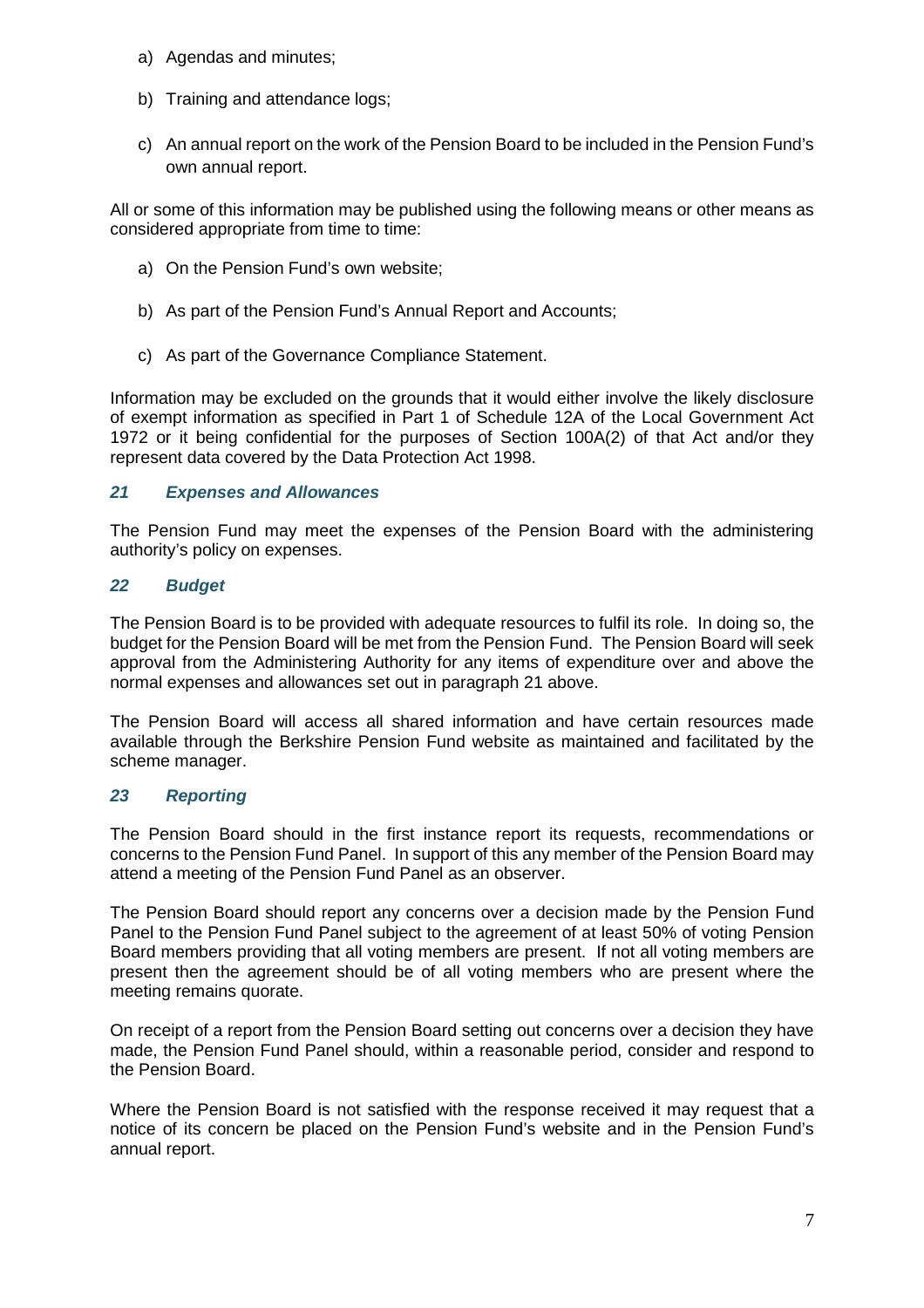- a) Agendas and minutes;
- b) Training and attendance logs;
- c) An annual report on the work of the Pension Board to be included in the Pension Fund's own annual report.

All or some of this information may be published using the following means or other means as considered appropriate from time to time:

- a) On the Pension Fund's own website;
- b) As part of the Pension Fund's Annual Report and Accounts;
- c) As part of the Governance Compliance Statement.

Information may be excluded on the grounds that it would either involve the likely disclosure of exempt information as specified in Part 1 of Schedule 12A of the Local Government Act 1972 or it being confidential for the purposes of Section 100A(2) of that Act and/or they represent data covered by the Data Protection Act 1998.

#### *21 Expenses and Allowances*

The Pension Fund may meet the expenses of the Pension Board with the administering authority's policy on expenses.

#### *22 Budget*

The Pension Board is to be provided with adequate resources to fulfil its role. In doing so, the budget for the Pension Board will be met from the Pension Fund. The Pension Board will seek approval from the Administering Authority for any items of expenditure over and above the normal expenses and allowances set out in paragraph 21 above.

The Pension Board will access all shared information and have certain resources made available through the Berkshire Pension Fund website as maintained and facilitated by the scheme manager.

## *23 Reporting*

The Pension Board should in the first instance report its requests, recommendations or concerns to the Pension Fund Panel. In support of this any member of the Pension Board may attend a meeting of the Pension Fund Panel as an observer.

The Pension Board should report any concerns over a decision made by the Pension Fund Panel to the Pension Fund Panel subject to the agreement of at least 50% of voting Pension Board members providing that all voting members are present. If not all voting members are present then the agreement should be of all voting members who are present where the meeting remains quorate.

On receipt of a report from the Pension Board setting out concerns over a decision they have made, the Pension Fund Panel should, within a reasonable period, consider and respond to the Pension Board.

Where the Pension Board is not satisfied with the response received it may request that a notice of its concern be placed on the Pension Fund's website and in the Pension Fund's annual report.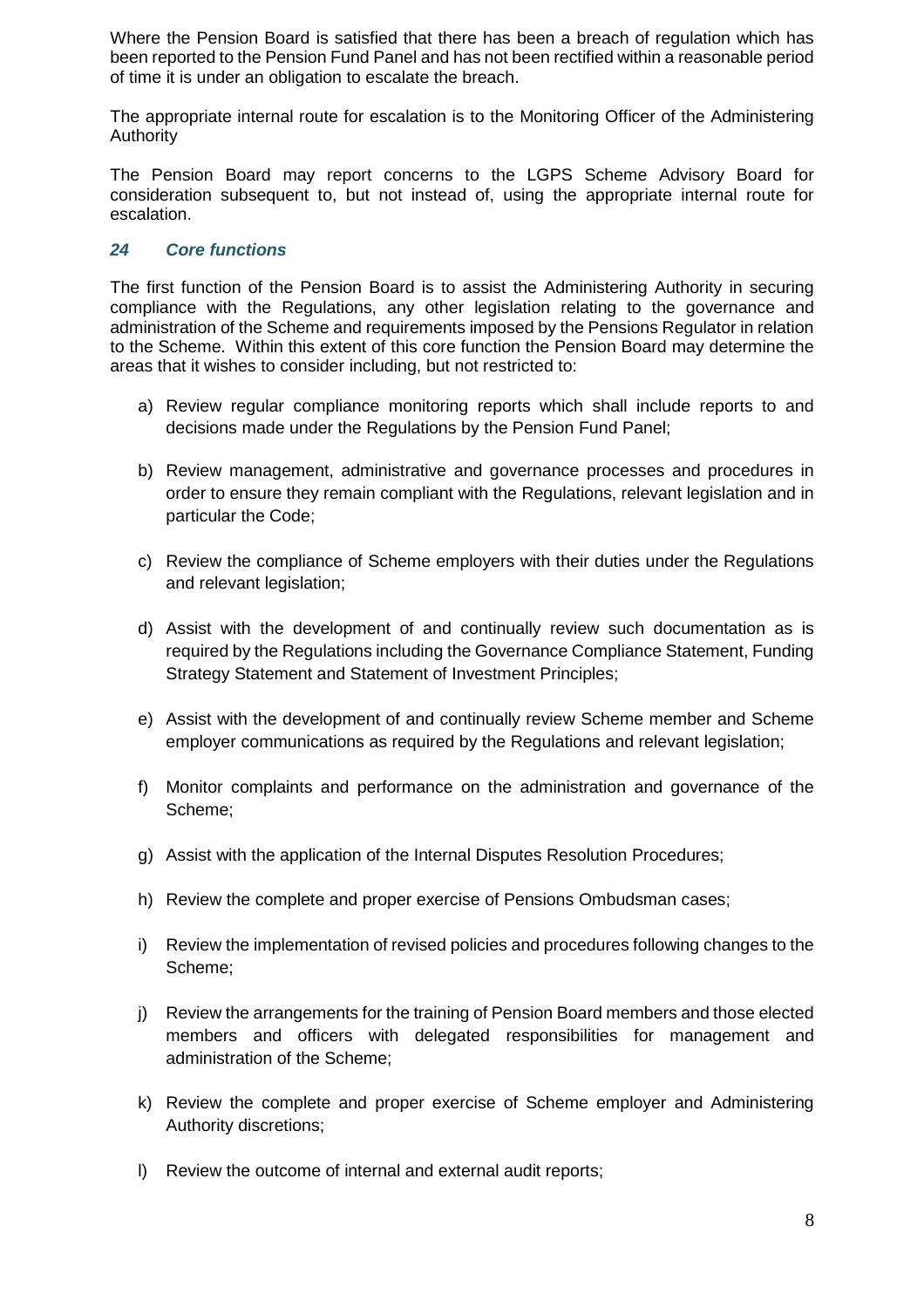Where the Pension Board is satisfied that there has been a breach of regulation which has been reported to the Pension Fund Panel and has not been rectified within a reasonable period of time it is under an obligation to escalate the breach.

The appropriate internal route for escalation is to the Monitoring Officer of the Administering Authority

The Pension Board may report concerns to the LGPS Scheme Advisory Board for consideration subsequent to, but not instead of, using the appropriate internal route for escalation.

## *24 Core functions*

The first function of the Pension Board is to assist the Administering Authority in securing compliance with the Regulations, any other legislation relating to the governance and administration of the Scheme and requirements imposed by the Pensions Regulator in relation to the Scheme. Within this extent of this core function the Pension Board may determine the areas that it wishes to consider including, but not restricted to:

- a) Review regular compliance monitoring reports which shall include reports to and decisions made under the Regulations by the Pension Fund Panel;
- b) Review management, administrative and governance processes and procedures in order to ensure they remain compliant with the Regulations, relevant legislation and in particular the Code;
- c) Review the compliance of Scheme employers with their duties under the Regulations and relevant legislation;
- d) Assist with the development of and continually review such documentation as is required by the Regulations including the Governance Compliance Statement, Funding Strategy Statement and Statement of Investment Principles;
- e) Assist with the development of and continually review Scheme member and Scheme employer communications as required by the Regulations and relevant legislation;
- f) Monitor complaints and performance on the administration and governance of the Scheme;
- g) Assist with the application of the Internal Disputes Resolution Procedures;
- h) Review the complete and proper exercise of Pensions Ombudsman cases;
- i) Review the implementation of revised policies and procedures following changes to the Scheme;
- j) Review the arrangements for the training of Pension Board members and those elected members and officers with delegated responsibilities for management and administration of the Scheme;
- k) Review the complete and proper exercise of Scheme employer and Administering Authority discretions;
- l) Review the outcome of internal and external audit reports;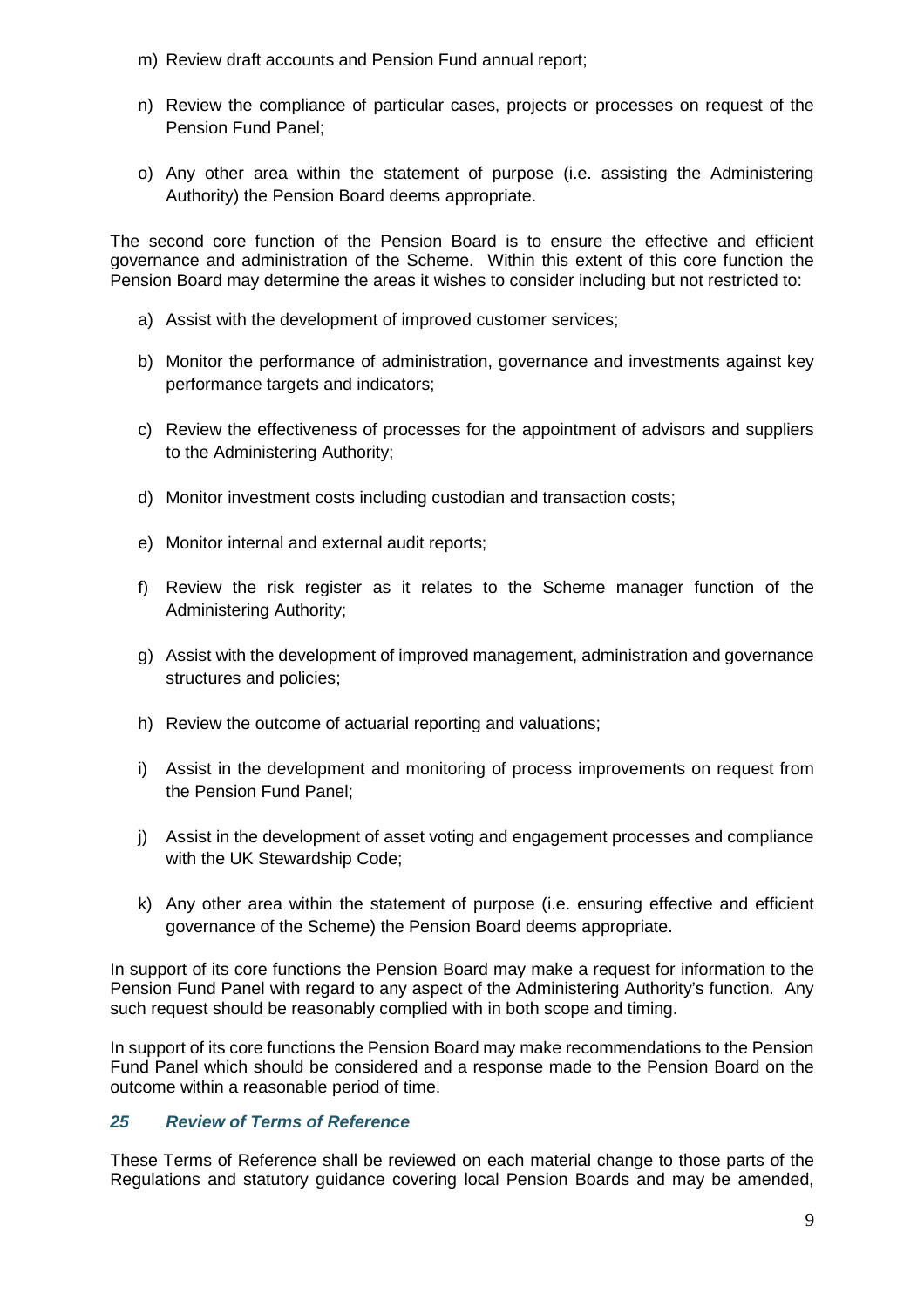- m) Review draft accounts and Pension Fund annual report;
- n) Review the compliance of particular cases, projects or processes on request of the Pension Fund Panel;
- o) Any other area within the statement of purpose (i.e. assisting the Administering Authority) the Pension Board deems appropriate.

The second core function of the Pension Board is to ensure the effective and efficient governance and administration of the Scheme. Within this extent of this core function the Pension Board may determine the areas it wishes to consider including but not restricted to:

- a) Assist with the development of improved customer services;
- b) Monitor the performance of administration, governance and investments against key performance targets and indicators;
- c) Review the effectiveness of processes for the appointment of advisors and suppliers to the Administering Authority;
- d) Monitor investment costs including custodian and transaction costs;
- e) Monitor internal and external audit reports;
- f) Review the risk register as it relates to the Scheme manager function of the Administering Authority;
- g) Assist with the development of improved management, administration and governance structures and policies;
- h) Review the outcome of actuarial reporting and valuations;
- i) Assist in the development and monitoring of process improvements on request from the Pension Fund Panel;
- j) Assist in the development of asset voting and engagement processes and compliance with the UK Stewardship Code;
- k) Any other area within the statement of purpose (i.e. ensuring effective and efficient governance of the Scheme) the Pension Board deems appropriate.

In support of its core functions the Pension Board may make a request for information to the Pension Fund Panel with regard to any aspect of the Administering Authority's function. Any such request should be reasonably complied with in both scope and timing.

In support of its core functions the Pension Board may make recommendations to the Pension Fund Panel which should be considered and a response made to the Pension Board on the outcome within a reasonable period of time.

# *25 Review of Terms of Reference*

These Terms of Reference shall be reviewed on each material change to those parts of the Regulations and statutory guidance covering local Pension Boards and may be amended,